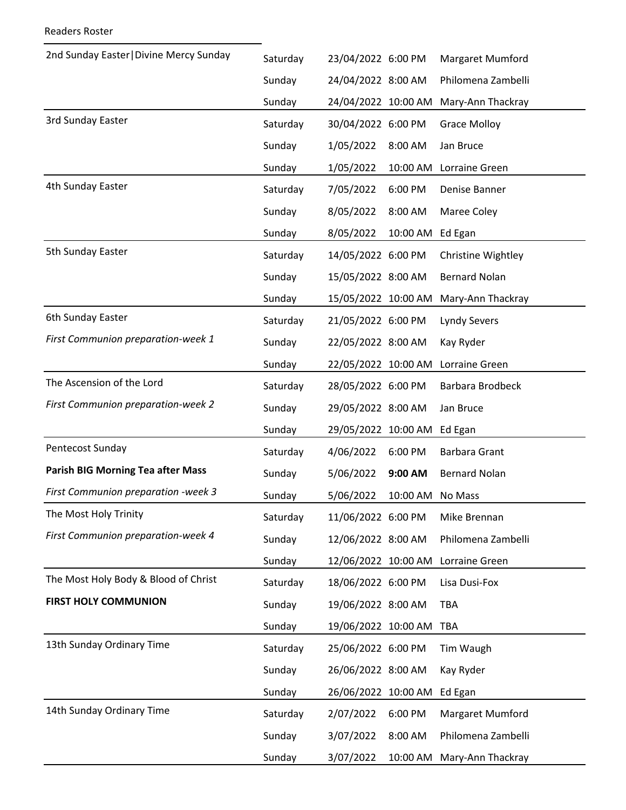| 2nd Sunday Easter   Divine Mercy Sunday  | Saturday | 23/04/2022 6:00 PM  |          | Margaret Mumford     |
|------------------------------------------|----------|---------------------|----------|----------------------|
|                                          | Sunday   | 24/04/2022 8:00 AM  |          | Philomena Zambelli   |
|                                          | Sunday   | 24/04/2022 10:00 AM |          | Mary-Ann Thackray    |
| 3rd Sunday Easter                        | Saturday | 30/04/2022 6:00 PM  |          | <b>Grace Molloy</b>  |
|                                          | Sunday   | 1/05/2022           | 8:00 AM  | Jan Bruce            |
|                                          | Sunday   | 1/05/2022           | 10:00 AM | Lorraine Green       |
| 4th Sunday Easter                        | Saturday | 7/05/2022           | 6:00 PM  | Denise Banner        |
|                                          | Sunday   | 8/05/2022           | 8:00 AM  | Maree Coley          |
|                                          | Sunday   | 8/05/2022           | 10:00 AM | Ed Egan              |
| 5th Sunday Easter                        | Saturday | 14/05/2022 6:00 PM  |          | Christine Wightley   |
|                                          | Sunday   | 15/05/2022 8:00 AM  |          | <b>Bernard Nolan</b> |
|                                          | Sunday   | 15/05/2022 10:00 AM |          | Mary-Ann Thackray    |
| 6th Sunday Easter                        | Saturday | 21/05/2022 6:00 PM  |          | <b>Lyndy Severs</b>  |
| First Communion preparation-week 1       | Sunday   | 22/05/2022 8:00 AM  |          | Kay Ryder            |
|                                          | Sunday   | 22/05/2022 10:00 AM |          | Lorraine Green       |
| The Ascension of the Lord                | Saturday | 28/05/2022 6:00 PM  |          | Barbara Brodbeck     |
| First Communion preparation-week 2       | Sunday   | 29/05/2022 8:00 AM  |          | Jan Bruce            |
|                                          | Sunday   | 29/05/2022 10:00 AM |          | Ed Egan              |
| Pentecost Sunday                         | Saturday | 4/06/2022           | 6:00 PM  | <b>Barbara Grant</b> |
| <b>Parish BIG Morning Tea after Mass</b> | Sunday   | 5/06/2022           | 9:00 AM  | <b>Bernard Nolan</b> |
| First Communion preparation -week 3      | Sunday   | 5/06/2022           | 10:00 AM | No Mass              |
| The Most Holy Trinity                    | Saturday | 11/06/2022 6:00 PM  |          | Mike Brennan         |
| First Communion preparation-week 4       | Sunday   | 12/06/2022 8:00 AM  |          | Philomena Zambelli   |
|                                          | Sunday   | 12/06/2022 10:00 AM |          | Lorraine Green       |
| The Most Holy Body & Blood of Christ     | Saturday | 18/06/2022 6:00 PM  |          | Lisa Dusi-Fox        |
| <b>FIRST HOLY COMMUNION</b>              | Sunday   | 19/06/2022 8:00 AM  |          | <b>TBA</b>           |
|                                          | Sunday   | 19/06/2022 10:00 AM |          | <b>TBA</b>           |
| 13th Sunday Ordinary Time                | Saturday | 25/06/2022 6:00 PM  |          | Tim Waugh            |
|                                          | Sunday   | 26/06/2022 8:00 AM  |          | Kay Ryder            |
|                                          | Sunday   | 26/06/2022 10:00 AM |          | Ed Egan              |
| 14th Sunday Ordinary Time                | Saturday | 2/07/2022           | 6:00 PM  | Margaret Mumford     |
|                                          | Sunday   | 3/07/2022           | 8:00 AM  | Philomena Zambelli   |
|                                          | Sunday   | 3/07/2022           | 10:00 AM | Mary-Ann Thackray    |